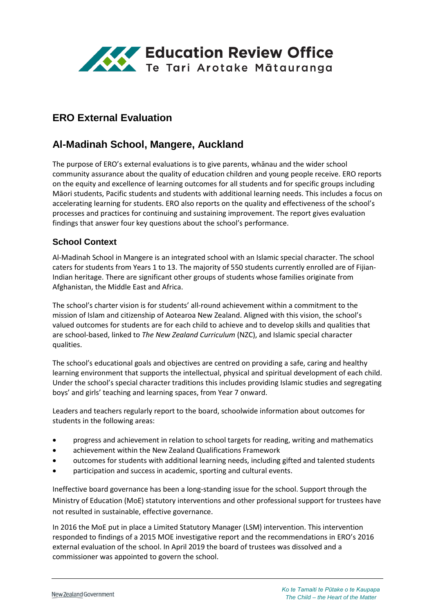

# **ERO External Evaluation**

# **Al-Madinah School, Mangere, Auckland**

The purpose of ERO's external evaluations is to give parents, whānau and the wider school community assurance about the quality of education children and young people receive. ERO reports on the equity and excellence of learning outcomes for all students and for specific groups including Māori students, Pacific students and students with additional learning needs. This includes a focus on accelerating learning for students. ERO also reports on the quality and effectiveness of the school's processes and practices for continuing and sustaining improvement. The report gives evaluation findings that answer four key questions about the school's performance.

## **School Context**

Al-Madinah School in Mangere is an integrated school with an Islamic special character. The school caters for students from Years 1 to 13. The majority of 550 students currently enrolled are of Fijian-Indian heritage. There are significant other groups of students whose families originate from Afghanistan, the Middle East and Africa.

The school's charter vision is for students' all-round achievement within a commitment to the mission of Islam and citizenship of Aotearoa New Zealand. Aligned with this vision, the school's valued outcomes for students are for each child to achieve and to develop skills and qualities that are school-based, linked to *The New Zealand Curriculum* (NZC), and Islamic special character qualities.

The school's educational goals and objectives are centred on providing a safe, caring and healthy learning environment that supports the intellectual, physical and spiritual development of each child. Under the school's special character traditions this includes providing Islamic studies and segregating boys' and girls' teaching and learning spaces, from Year 7 onward.

Leaders and teachers regularly report to the board, schoolwide information about outcomes for students in the following areas:

- progress and achievement in relation to school targets for reading, writing and mathematics
- achievement within the New Zealand Qualifications Framework
- outcomes for students with additional learning needs, including gifted and talented students
- participation and success in academic, sporting and cultural events.

Ineffective board governance has been a long-standing issue for the school. Support through the Ministry of Education (MoE) statutory interventions and other professional support for trustees have not resulted in sustainable, effective governance.

In 2016 the MoE put in place a Limited Statutory Manager (LSM) intervention. This intervention responded to findings of a 2015 MOE investigative report and the recommendations in ERO's 2016 external evaluation of the school. In April 2019 the board of trustees was dissolved and a commissioner was appointed to govern the school.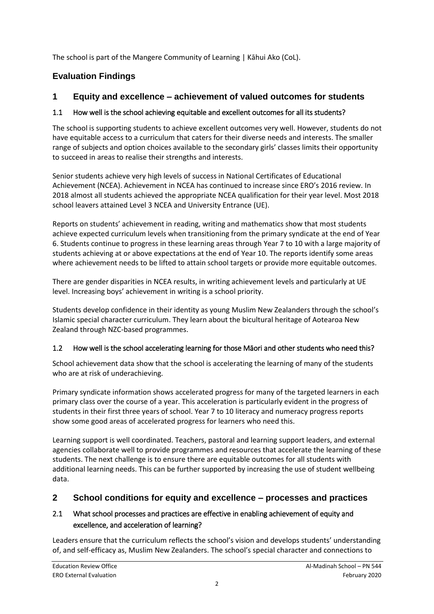The school is part of the Mangere Community of Learning | Kāhui Ako (CoL).

# **Evaluation Findings**

# **1 Equity and excellence – achievement of valued outcomes for students**

## 1.1 How well is the school achieving equitable and excellent outcomes for all its students?

The school is supporting students to achieve excellent outcomes very well. However, students do not have equitable access to a curriculum that caters for their diverse needs and interests. The smaller range of subjects and option choices available to the secondary girls' classes limits their opportunity to succeed in areas to realise their strengths and interests.

Senior students achieve very high levels of success in National Certificates of Educational Achievement (NCEA). Achievement in NCEA has continued to increase since ERO's 2016 review. In 2018 almost all students achieved the appropriate NCEA qualification for their year level. Most 2018 school leavers attained Level 3 NCEA and University Entrance (UE).

Reports on students' achievement in reading, writing and mathematics show that most students achieve expected curriculum levels when transitioning from the primary syndicate at the end of Year 6. Students continue to progress in these learning areas through Year 7 to 10 with a large majority of students achieving at or above expectations at the end of Year 10. The reports identify some areas where achievement needs to be lifted to attain school targets or provide more equitable outcomes.

There are gender disparities in NCEA results, in writing achievement levels and particularly at UE level. Increasing boys' achievement in writing is a school priority.

Students develop confidence in their identity as young Muslim New Zealanders through the school's Islamic special character curriculum. They learn about the bicultural heritage of Aotearoa New Zealand through NZC-based programmes.

# 1.2 How well is the school accelerating learning for those Māori and other students who need this?

School achievement data show that the school is accelerating the learning of many of the students who are at risk of underachieving.

Primary syndicate information shows accelerated progress for many of the targeted learners in each primary class over the course of a year. This acceleration is particularly evident in the progress of students in their first three years of school. Year 7 to 10 literacy and numeracy progress reports show some good areas of accelerated progress for learners who need this.

Learning support is well coordinated. Teachers, pastoral and learning support leaders, and external agencies collaborate well to provide programmes and resources that accelerate the learning of these students. The next challenge is to ensure there are equitable outcomes for all students with additional learning needs. This can be further supported by increasing the use of student wellbeing data.

# **2 School conditions for equity and excellence – processes and practices**

## 2.1 What school processes and practices are effective in enabling achievement of equity and excellence, and acceleration of learning?

Leaders ensure that the curriculum reflects the school's vision and develops students' understanding of, and self-efficacy as, Muslim New Zealanders. The school's special character and connections to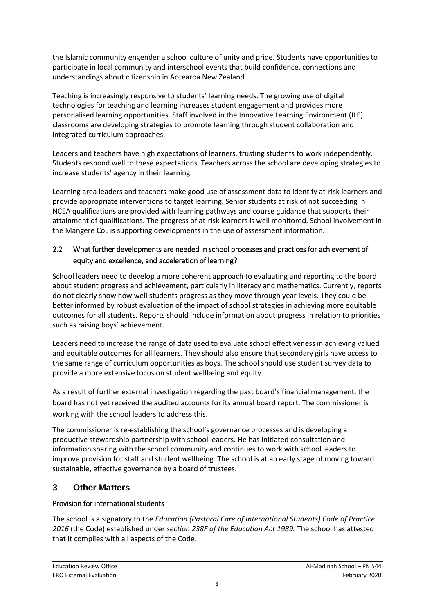the Islamic community engender a school culture of unity and pride. Students have opportunities to participate in local community and interschool events that build confidence, connections and understandings about citizenship in Aotearoa New Zealand.

Teaching is increasingly responsive to students' learning needs. The growing use of digital technologies for teaching and learning increases student engagement and provides more personalised learning opportunities. Staff involved in the Innovative Learning Environment (ILE) classrooms are developing strategies to promote learning through student collaboration and integrated curriculum approaches.

Leaders and teachers have high expectations of learners, trusting students to work independently. Students respond well to these expectations. Teachers across the school are developing strategies to increase students' agency in their learning.

Learning area leaders and teachers make good use of assessment data to identify at-risk learners and provide appropriate interventions to target learning. Senior students at risk of not succeeding in NCEA qualifications are provided with learning pathways and course guidance that supports their attainment of qualifications. The progress of at-risk learners is well monitored. School involvement in the Mangere CoL is supporting developments in the use of assessment information.

## 2.2 What further developments are needed in school processes and practices for achievement of equity and excellence, and acceleration of learning?

School leaders need to develop a more coherent approach to evaluating and reporting to the board about student progress and achievement, particularly in literacy and mathematics. Currently, reports do not clearly show how well students progress as they move through year levels. They could be better informed by robust evaluation of the impact of school strategies in achieving more equitable outcomes for all students. Reports should include information about progress in relation to priorities such as raising boys' achievement.

Leaders need to increase the range of data used to evaluate school effectiveness in achieving valued and equitable outcomes for all learners. They should also ensure that secondary girls have access to the same range of curriculum opportunities as boys. The school should use student survey data to provide a more extensive focus on student wellbeing and equity.

As a result of further external investigation regarding the past board's financial management, the board has not yet received the audited accounts for its annual board report. The commissioner is working with the school leaders to address this.

The commissioner is re-establishing the school's governance processes and is developing a productive stewardship partnership with school leaders. He has initiated consultation and information sharing with the school community and continues to work with school leaders to improve provision for staff and student wellbeing. The school is at an early stage of moving toward sustainable, effective governance by a board of trustees.

# **3 Other Matters**

## Provision for international students

The school is a signatory to the *Education (Pastoral Care of International Students) Code of Practice 2016* (the Code) established under *section 238F of the Education Act 1989.* The school has attested that it complies with all aspects of the Code.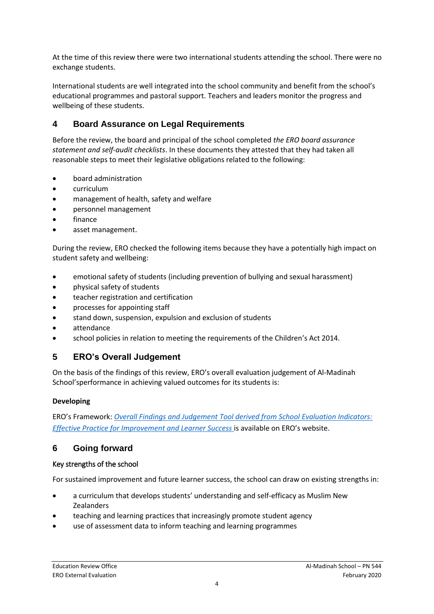At the time of this review there were two international students attending the school. There were no exchange students.

International students are well integrated into the school community and benefit from the school's educational programmes and pastoral support. Teachers and leaders monitor the progress and wellbeing of these students.

## **4 Board Assurance on Legal Requirements**

Before the review, the board and principal of the school completed *the ERO board assurance statement and self-audit checklists*. In these documents they attested that they had taken all reasonable steps to meet their legislative obligations related to the following:

- board administration
- curriculum
- management of health, safety and welfare
- personnel management
- finance
- asset management.

During the review, ERO checked the following items because they have a potentially high impact on student safety and wellbeing:

- emotional safety of students (including prevention of bullying and sexual harassment)
- physical safety of students
- teacher registration and certification
- processes for appointing staff
- stand down, suspension, expulsion and exclusion of students
- attendance
- school policies in relation to meeting the requirements of the Children's Act 2014.

## **5 ERO's Overall Judgement**

On the basis of the findings of this review, ERO's overall evaluation judgement of Al-Madinah School'sperformance in achieving valued outcomes for its students is:

#### **Developing**

ERO's Framework: *[Overall Findings and Judgement Tool derived from School Evaluation Indicators:](https://www.ero.govt.nz/assets/Uploads/ERO-18798-1-AF-Overall-findings-and-judgements-document-v4.pdf)  [Effective Practice for Improvement and Learner Success](https://www.ero.govt.nz/assets/Uploads/ERO-18798-1-AF-Overall-findings-and-judgements-document-v4.pdf)* is available on ERO's website.

## **6 Going forward**

#### Key strengths of the school

For sustained improvement and future learner success, the school can draw on existing strengths in:

- a curriculum that develops students' understanding and self-efficacy as Muslim New Zealanders
- teaching and learning practices that increasingly promote student agency
- use of assessment data to inform teaching and learning programmes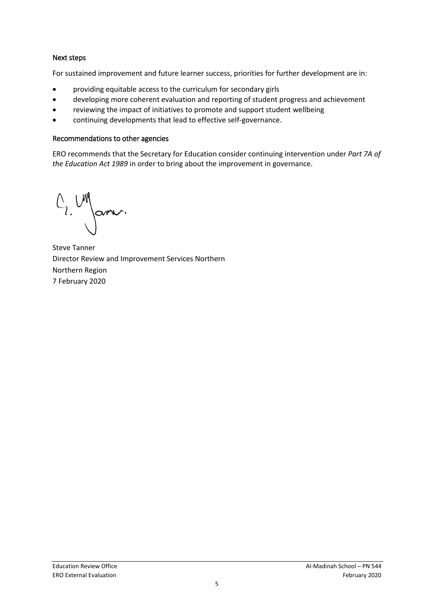#### Next steps

For sustained improvement and future learner success, priorities for further development are in:

- providing equitable access to the curriculum for secondary girls
- developing more coherent evaluation and reporting of student progress and achievement
- reviewing the impact of initiatives to promote and support student wellbeing
- continuing developments that lead to effective self-governance.

#### Recommendations to other agencies

ERO recommends that the Secretary for Education consider continuing intervention under *Part 7A of the Education Act 1989* in order to bring about the improvement in governance.

 $O_{2}$  UN Jam.

Steve Tanner Director Review and Improvement Services Northern Northern Region 7 February 2020